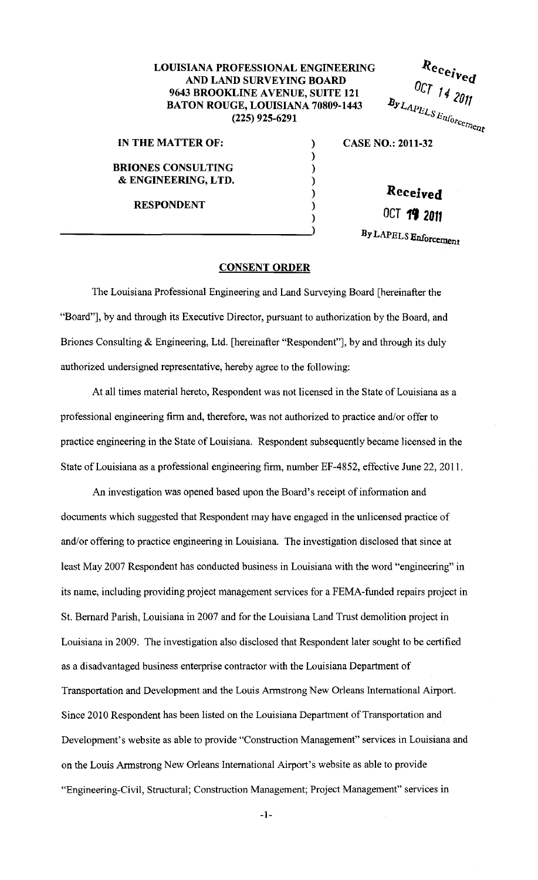## **LOUISIANA PROFESSIONAL ENGINEERING AND LAND SURVEYING BOARD 9643 BROOKLINE AVENUE, SUITE 121 BATON ROUGE, LOUISIANA 70809-1443 (225) 925-6291**

) ) ) ) ) )

**IN THE MATTER OF:** ) **BRIONES CONSULTING**  & **ENGINEERING, LTD.** 

**RESPONDENT** 

**CASE NO.: 2011-32** 

**Received** 

 $R_{e_{\text{c}}e_{\textit{i}\text{v}}e_{\textit{d}}}$ 

OCT 14 2011

 $B_{\text{y}}_{\text{LAP}_{\text{ELS}}_{\text{En}f_{\text{O}r_{\text{C}}_{\text{C}}_{\text{C}}_{\text{C}}_{\text{C}}_{\text{C}}_{\text{C}}}}$ 

**OCT 19 20U** 

**By LAPELS Enforcement** 

## **CONSENT ORDER**

The Louisiana Professional Engineering and Land Surveying Board [hereinafter the "Board"], by and through its Executive Director, pursuant to authorization by the Board, and Briones Consulting & Engineering, Ltd. [hereinafter "Respondent"], by and through its duly authorized undersigned representative, hereby agree to the following:

At all times material hereto, Respondent was not licensed in the State of Louisiana as a professional engineering firm and, therefore, was not authorized to practice and/or offer to practice engineering in the State of Louisiana. Respondent subsequently became licensed in the State of Louisiana as a professional engineering firm, number EF-4852, effective June 22, 2011.

An investigation was opened based upon the Board's receipt of information and documents which suggested that Respondent may have engaged in the unlicensed practice of and/or offering to practice engineering in Louisiana. The investigation disclosed that since at least May 2007 Respondent has conducted business in Louisiana with the word "engineering" in its name, including providing project management services for a FEMA-funded repairs project in St. Bernard Parish, Louisiana in 2007 and for the Louisiana Land Trust demolition project in Louisiana in 2009. The investigation also disclosed that Respondent later sought to be certified as a disadvantaged business enterprise contractor with the Louisiana Department of Transportation and Development and the Louis Armstrong New Orleans International Airport. Since 2010 Respondent has been listed on the Louisiana Department of Transportation and Development's website as able to provide "Construction Management" services in Louisiana and on the Louis Armstrong New Orleans International Airport's website. as able to provide "Engineering-Civil, Structural; Construction Management; Project Management" services in

-1-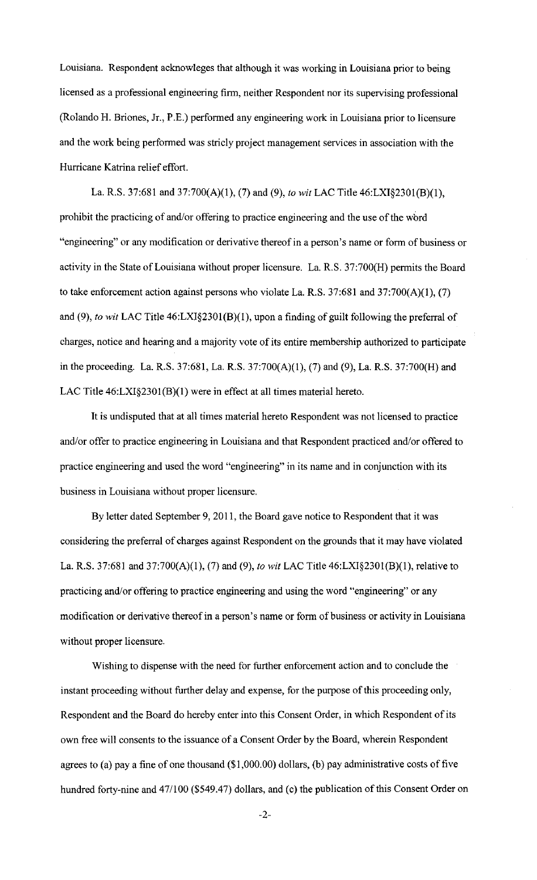Louisiana. Respondent acknowleges that although it was working in Louisiana prior to being licensed as a professional engineering firm, neither Respondent nor its supervising professional (Rolando H. Briones, Jr., P.E.) performed any engineering work in Louisiana prior to licensure and the work being performed was stricly project management services in association with the Hurricane Katrina relief effort.

La. R.S. 37:681 and 37:700(A)(1), (7) and (9), *to wit* LAC Title 46:LXI§2301(B)(1), prohibit the practicing of and/or offering to practice engineering and the use of the wbrd "engineering" or any modification or derivative thereof in a person's name or form of business or activity in the State of Louisiana without proper licensure. La. R.S. 37:700(H) permits the Board to take enforcement action against persons who violate La. R.S.  $37:681$  and  $37:700(A)(1)$ , (7) and (9), *to wit* LAC Title 46:LXI§2301(B)(1), upon a finding of guilt following the preferral of charges, notice and hearing and a majority vote of its entire membership authorized to participate in the proceeding. La. R.S. 37:681, La. R.S. 37:700(A)(1), (7) and (9), La. R.S. 37:700(H) and LAC Title 46:LXI§2301(B)(1) were in effect at all times material hereto.

It is undisputed that at all times material hereto Respondent was not licensed to practice and/or offer to practice engineering in Louisiana and that Respondent practiced and/or offered to practice engineering and used the word "engineering" in its name and in conjunction with its business in Louisiana without proper licensure.

By letter dated September 9, 2011, the Board gave notice to Respondent that it was considering the preferral of charges against Respondent on the grounds that it may have violated La. R.S. 37:681 and 37:700(A)(l), (7) and (9), *to wit* LAC Title 46:LXI§2301(B)(1), relative to practicing and/or offering to practice engineering and using the word "engineering" or any modification or derivative thereof in a person's name or form of business or activity in Louisiana without proper licensure.

Wishing to dispense with the need for further enforcement action and to conclude the instant proceeding without further delay and expense, for the purpose of this proceeding only, Respondent and the Board do hereby enter into this Consent Order, in which Respondent of its own free will consents to the issuance of a Consent Order by the Board, wherein Respondent agrees to (a) pay a fine of one thousand (\$1,000.00) dollars, (b) pay administrative costs of five hundred forty-nine and 47/100 (\$549.47) dollars, and (c) the publication of this Consent Order on

-2-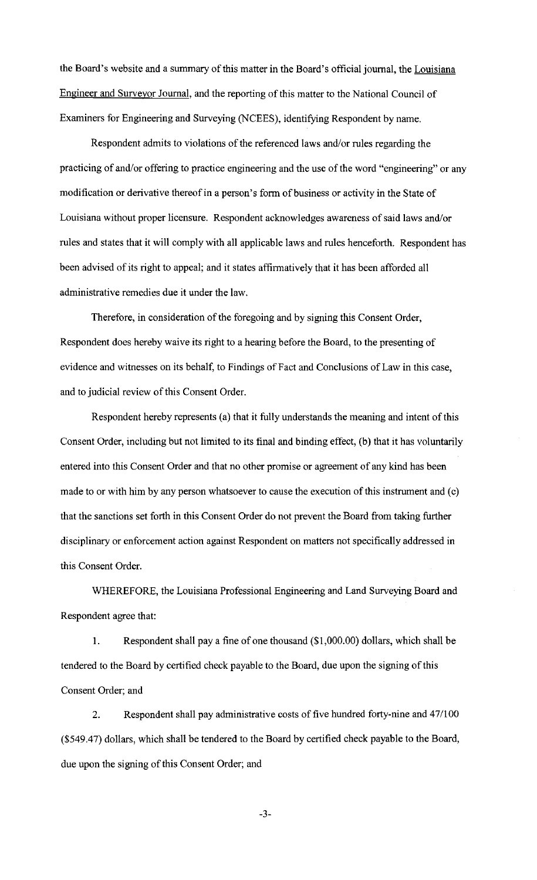the Board's website and a summary of this matter in the Board's official journal, the Louisiana Engineer and Surveyor Journal, and the reporting of this matter to the National Council of Examiners for Engineering and Surveying (NCEES), identifying Respondent by name.

Respondent admits to violations of the referenced laws and/or rules regarding the practicing of and/or offering to practice engineering and the use of the word "engineering" or any modification or derivative thereof in a person's form of business or activity in the State of Louisiana without proper licensure. Respondent acknowledges awareness of said laws and/or rules and states that it will comply with all applicable laws and rules henceforth. Respondent has been advised of its right to appeal; and it states affirmatively that it has been afforded all administrative remedies due it under the law.

Therefore, in consideration of the foregoing and by signing this Consent Order, Respondent does hereby waive its right to a hearing before the Board, to the presenting of evidence and witnesses on its behalf, to Findings of Fact and Conclusions of Law in this case, and to judicial review of this Consent Order.

Respondent hereby represents (a) that it fully understands the meaning and intent of this Consent Order, including but not limited to its final and binding effect, (b) that it has voluntarily entered into this Consent Order and that no other promise or agreement of any kind has been made to or with him by any person whatsoever to cause the execution of this instrument and (c) that the sanctions set forth in this Consent Order do not prevent the Board from taking further disciplinary or enforcement action against Respondent on matters not specifically addressed in this Consent Order.

WHEREFORE, the Louisiana Professional Engineering and Land Surveying Board and Respondent agree that:

1. Respondent shall pay a fine of one thousand (\$1,000.00) dollars, which shall be tendered to the Board by certified check payable to the Board, due upon the signing of this Consent Order; and

2. Respondent shall pay administrative costs of five hundred forty-nine and 47/100 (\$549.47) dollars, which shall be tendered to the Board by certified check payable to the Board, due upon the signing of this Consent Order; and

-3-